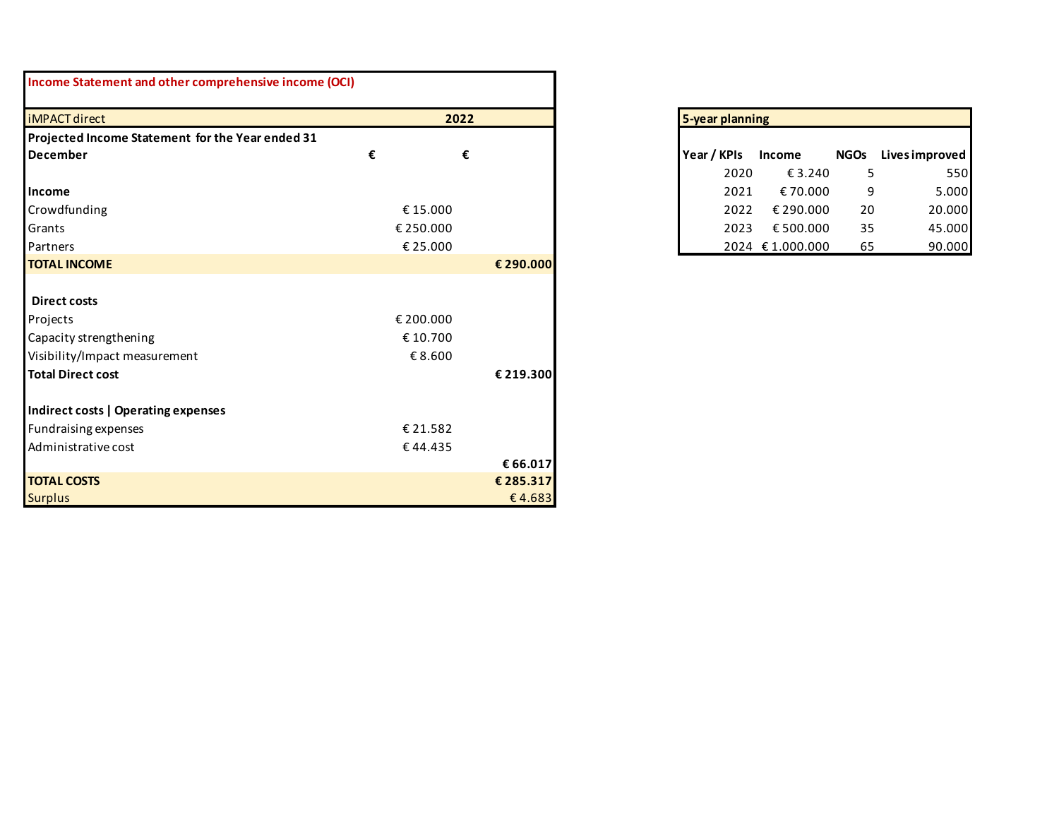| Income Statement and other comprehensive income (OCI) |           |                 |             |      |                 |             |                       |
|-------------------------------------------------------|-----------|-----------------|-------------|------|-----------------|-------------|-----------------------|
| <b>iMPACT</b> direct                                  | 2022      | 5-year planning |             |      |                 |             |                       |
| Projected Income Statement for the Year ended 31      |           |                 |             |      |                 |             |                       |
| <b>December</b>                                       | €<br>€    |                 | Year / KPIs |      | Income          | <b>NGOs</b> | <b>Lives improved</b> |
|                                                       |           |                 |             | 2020 | €3.240          | 5           |                       |
| Income                                                |           |                 |             | 2021 | €70.000         | 9           |                       |
| Crowdfunding                                          | €15.000   |                 |             | 2022 | € 290.000       | 20          |                       |
| Grants                                                | € 250.000 |                 |             | 2023 | € 500.000       | 35          |                       |
| Partners                                              | € 25.000  |                 |             |      | 2024 €1.000.000 | 65          |                       |
| <b>TOTAL INCOME</b>                                   |           | € 290.000       |             |      |                 |             |                       |
|                                                       |           |                 |             |      |                 |             |                       |
| <b>Direct costs</b>                                   |           |                 |             |      |                 |             |                       |
| Projects                                              | € 200.000 |                 |             |      |                 |             |                       |
| Capacity strengthening                                | €10.700   |                 |             |      |                 |             |                       |
| Visibility/Impact measurement                         | €8.600    |                 |             |      |                 |             |                       |
| <b>Total Direct cost</b>                              |           | € 219.300       |             |      |                 |             |                       |
|                                                       |           |                 |             |      |                 |             |                       |
| Indirect costs   Operating expenses                   |           |                 |             |      |                 |             |                       |
| <b>Fundraising expenses</b>                           | € 21.582  |                 |             |      |                 |             |                       |
| Administrative cost                                   | €44.435   |                 |             |      |                 |             |                       |
|                                                       |           | € 66.017        |             |      |                 |             |                       |
| <b>TOTAL COSTS</b>                                    |           | € 285.317       |             |      |                 |             |                       |
| <b>Surplus</b>                                        |           | €4.683          |             |      |                 |             |                       |

| 5-year planning |             |             |                |  |  |
|-----------------|-------------|-------------|----------------|--|--|
|                 |             |             |                |  |  |
| Year / KPIs     | Income      | <b>NGOs</b> | Lives improved |  |  |
| 2020            | € 3.240     | 5           | 550            |  |  |
| 2021            | €70.000     | 9           | 5.000          |  |  |
| 2022            | € 290.000   | 20          | 20.000         |  |  |
| 2023            | €500.000    | 35          | 45.000         |  |  |
| 2024            | € 1.000.000 | 65          | 90.000         |  |  |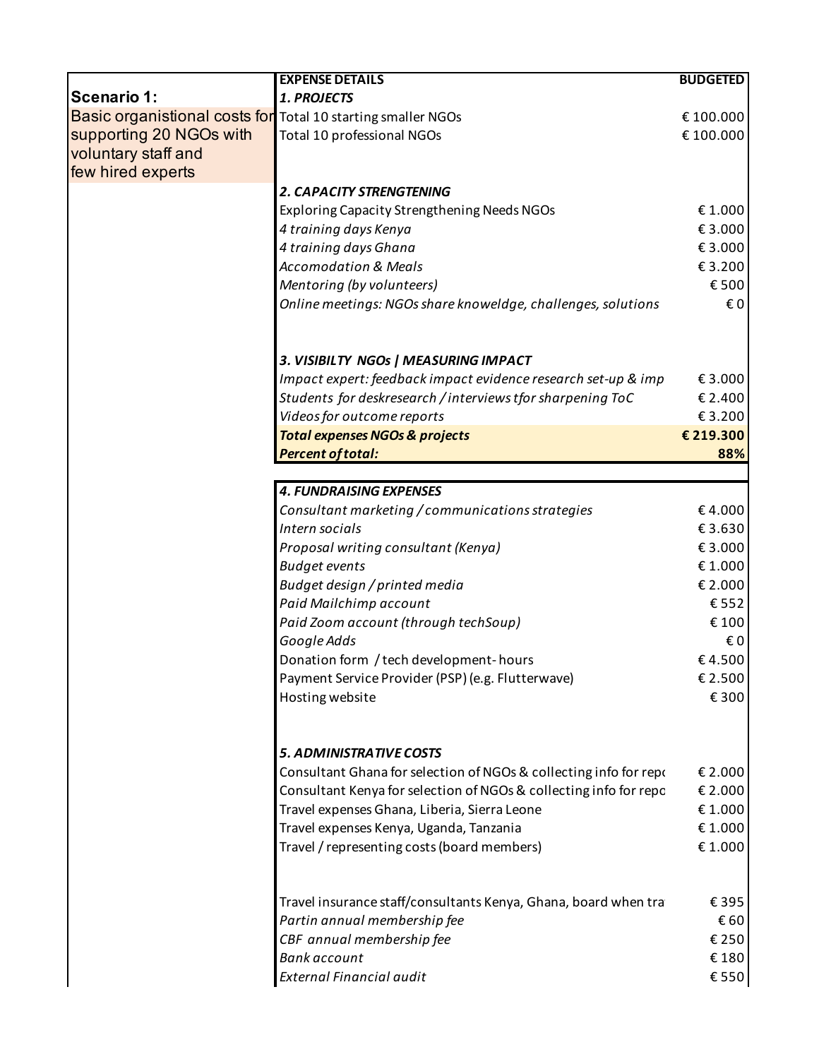|                                                                     | <b>EXPENSE DETAILS</b>                                                                                                                 | <b>BUDGETED</b>        |  |  |  |  |
|---------------------------------------------------------------------|----------------------------------------------------------------------------------------------------------------------------------------|------------------------|--|--|--|--|
| <b>Scenario 1:</b>                                                  | 1. PROJECTS                                                                                                                            |                        |  |  |  |  |
| <b>Basic organistional costs for Total 10 starting smaller NGOs</b> |                                                                                                                                        | € 100.000              |  |  |  |  |
| supporting 20 NGOs with                                             | Total 10 professional NGOs                                                                                                             | € 100.000              |  |  |  |  |
| voluntary staff and                                                 |                                                                                                                                        |                        |  |  |  |  |
| few hired experts                                                   |                                                                                                                                        |                        |  |  |  |  |
|                                                                     | <b>2. CAPACITY STRENGTENING</b>                                                                                                        |                        |  |  |  |  |
|                                                                     | Exploring Capacity Strengthening Needs NGOs                                                                                            | €1.000                 |  |  |  |  |
|                                                                     | 4 training days Kenya                                                                                                                  | €3.000                 |  |  |  |  |
|                                                                     | 4 training days Ghana                                                                                                                  | €3.000                 |  |  |  |  |
|                                                                     | <b>Accomodation &amp; Meals</b>                                                                                                        | €3.200                 |  |  |  |  |
|                                                                     | Mentoring (by volunteers)                                                                                                              | €500                   |  |  |  |  |
|                                                                     | Online meetings: NGOs share knoweldge, challenges, solutions                                                                           | €0                     |  |  |  |  |
|                                                                     |                                                                                                                                        |                        |  |  |  |  |
|                                                                     | 3. VISIBILTY NGOs   MEASURING IMPACT                                                                                                   |                        |  |  |  |  |
|                                                                     | Impact expert: feedback impact evidence research set-up & imp                                                                          | € 3.000                |  |  |  |  |
|                                                                     | Students for deskresearch / interviews tfor sharpening ToC                                                                             | € 2.400                |  |  |  |  |
|                                                                     | Videos for outcome reports                                                                                                             | €3.200                 |  |  |  |  |
|                                                                     | <b>Total expenses NGOs &amp; projects</b>                                                                                              | € 219.300              |  |  |  |  |
|                                                                     | <b>Percent of total:</b>                                                                                                               | 88%                    |  |  |  |  |
|                                                                     |                                                                                                                                        |                        |  |  |  |  |
|                                                                     | <b>4. FUNDRAISING EXPENSES</b>                                                                                                         |                        |  |  |  |  |
|                                                                     | Consultant marketing / communications strategies                                                                                       | €4.000                 |  |  |  |  |
|                                                                     | Intern socials                                                                                                                         | €3.630                 |  |  |  |  |
|                                                                     | Proposal writing consultant (Kenya)                                                                                                    | €3.000                 |  |  |  |  |
|                                                                     | <b>Budget events</b>                                                                                                                   | €1.000                 |  |  |  |  |
|                                                                     | Budget design / printed media                                                                                                          | € 2.000                |  |  |  |  |
|                                                                     | Paid Mailchimp account                                                                                                                 | €552                   |  |  |  |  |
|                                                                     | Paid Zoom account (through techSoup)                                                                                                   | € 100                  |  |  |  |  |
|                                                                     | Google Adds                                                                                                                            | €0                     |  |  |  |  |
|                                                                     | Donation form / tech development-hours                                                                                                 | €4.500                 |  |  |  |  |
|                                                                     | Payment Service Provider (PSP) (e.g. Flutterwave)                                                                                      | € 2.500                |  |  |  |  |
|                                                                     | Hosting website                                                                                                                        | €300                   |  |  |  |  |
|                                                                     |                                                                                                                                        |                        |  |  |  |  |
|                                                                     | <b>5. ADMINISTRATIVE COSTS</b>                                                                                                         | € 2.000                |  |  |  |  |
|                                                                     | Consultant Ghana for selection of NGOs & collecting info for repr<br>Consultant Kenya for selection of NGOs & collecting info for repc | € 2.000                |  |  |  |  |
|                                                                     | Travel expenses Ghana, Liberia, Sierra Leone                                                                                           | €1.000                 |  |  |  |  |
|                                                                     | Travel expenses Kenya, Uganda, Tanzania                                                                                                | €1.000                 |  |  |  |  |
|                                                                     |                                                                                                                                        |                        |  |  |  |  |
|                                                                     |                                                                                                                                        |                        |  |  |  |  |
|                                                                     | Travel / representing costs (board members)                                                                                            |                        |  |  |  |  |
|                                                                     |                                                                                                                                        |                        |  |  |  |  |
|                                                                     | Travel insurance staff/consultants Kenya, Ghana, board when tra                                                                        |                        |  |  |  |  |
|                                                                     | Partin annual membership fee                                                                                                           | €1.000<br>€395<br>€ 60 |  |  |  |  |
|                                                                     | CBF annual membership fee<br><b>Bank account</b>                                                                                       | € 250<br>€180          |  |  |  |  |